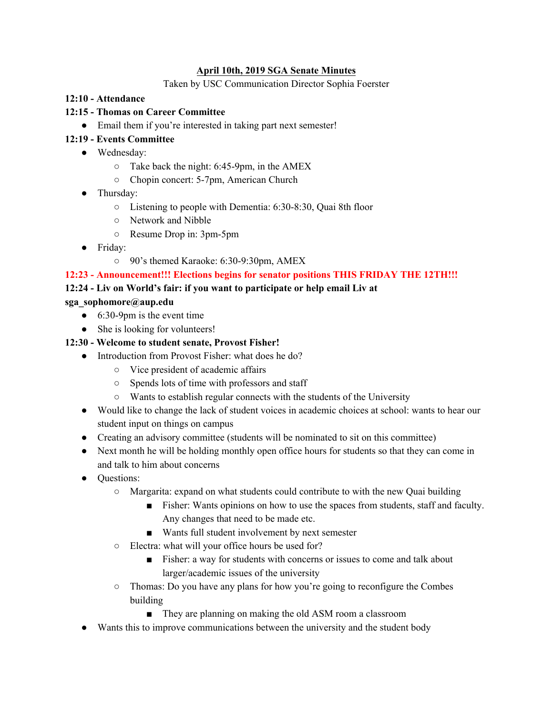#### **April 10th, 2019 SGA Senate Minutes**

#### Taken by USC Communication Director Sophia Foerster

#### **12:10 - Attendance**

#### **12:15 - Thomas on Career Committee**

• Email them if you're interested in taking part next semester!

## **12:19 - Events Committee**

- Wednesday:
	- Take back the night: 6:45-9pm, in the AMEX
	- Chopin concert: 5-7pm, American Church
- Thursday:
	- Listening to people with Dementia: 6:30-8:30, Quai 8th floor
	- Network and Nibble
	- Resume Drop in: 3pm-5pm
- Friday:
	- 90's themed Karaoke: 6:30-9:30pm, AMEX

## **12:23 - Announcement!!! Elections begins for senator positions THIS FRIDAY THE 12TH!!!**

#### **12:24 - Liv on World's fair: if you want to participate or help email Liv at**

#### **sga\_sophomore@aup.edu**

- $\bullet$  6:30-9pm is the event time
- She is looking for volunteers!

## **12:30 - Welcome to student senate, Provost Fisher!**

- Introduction from Provost Fisher: what does he do?
	- Vice president of academic affairs
	- Spends lots of time with professors and staff
	- Wants to establish regular connects with the students of the University
- Would like to change the lack of student voices in academic choices at school: wants to hear our student input on things on campus
- Creating an advisory committee (students will be nominated to sit on this committee)
- Next month he will be holding monthly open office hours for students so that they can come in and talk to him about concerns
- Questions:
	- Margarita: expand on what students could contribute to with the new Quai building
		- Fisher: Wants opinions on how to use the spaces from students, staff and faculty. Any changes that need to be made etc.
		- Wants full student involvement by next semester
	- Electra: what will your office hours be used for?
		- Fisher: a way for students with concerns or issues to come and talk about larger/academic issues of the university
	- Thomas: Do you have any plans for how you're going to reconfigure the Combes building
		- They are planning on making the old ASM room a classroom
- Wants this to improve communications between the university and the student body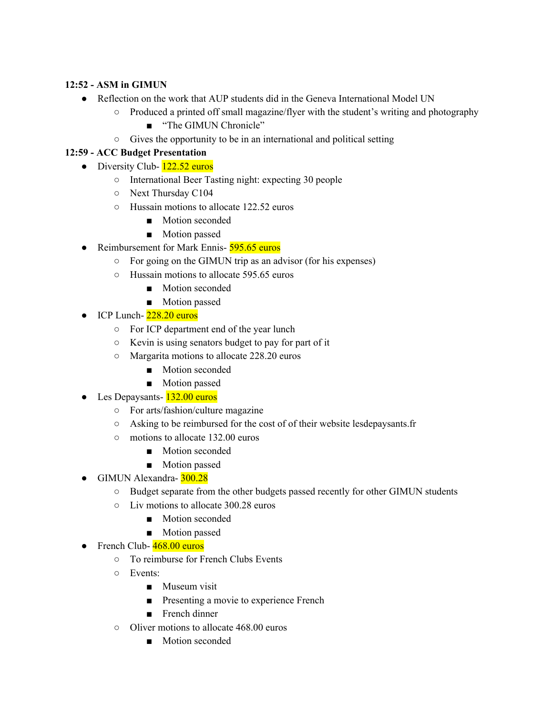## **12:52 - ASM in GIMUN**

- Reflection on the work that AUP students did in the Geneva International Model UN
	- Produced a printed off small magazine/flyer with the student's writing and photography
		- "The GIMUN Chronicle"
	- Gives the opportunity to be in an international and political setting

## **12:59 - ACC Budget Presentation**

- Diversity Club-  $122.52$  euros
	- International Beer Tasting night: expecting 30 people
	- Next Thursday C104
	- Hussain motions to allocate 122.52 euros
		- Motion seconded
		- Motion passed
- Reimbursement for Mark Ennis- 595.65 euros
	- For going on the GIMUN trip as an advisor (for his expenses)
	- Hussain motions to allocate 595.65 euros
		- Motion seconded
		- Motion passed
- $\bullet$  ICP Lunch- $228.20$  euros
	- For ICP department end of the year lunch
	- Kevin is using senators budget to pay for part of it
	- Margarita motions to allocate 228.20 euros
		- Motion seconded
		- Motion passed
- Les Depaysants- 132.00 euros
	- For arts/fashion/culture magazine
	- Asking to be reimbursed for the cost of of their website lesdepaysants.fr
	- motions to allocate 132.00 euros
		- Motion seconded
		- Motion passed
- GIMUN Alexandra- 300.28
	- Budget separate from the other budgets passed recently for other GIMUN students
	- Liv motions to allocate 300.28 euros
		- Motion seconded
		- Motion passed
- $\bullet$  French Club- $\frac{468.00}{ }$  euros
	- To reimburse for French Clubs Events
	- Events:
		- Museum visit
		- Presenting a movie to experience French
		- French dinner
	- Oliver motions to allocate 468.00 euros
		- Motion seconded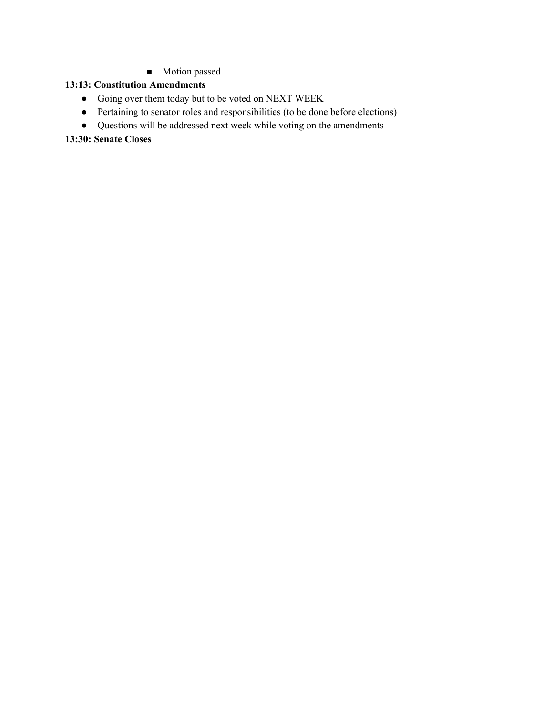■ Motion passed

## **13:13: Constitution Amendments**

- Going over them today but to be voted on NEXT WEEK
- Pertaining to senator roles and responsibilities (to be done before elections)
- Questions will be addressed next week while voting on the amendments

#### **13:30: Senate Closes**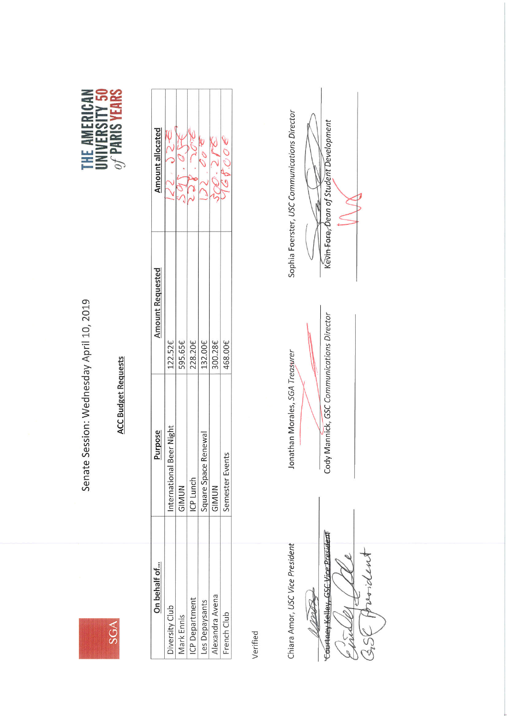

Senate Session: Wednesday April 10, 2019





| Beer Night<br>Purpose<br>Square Space Renewal<br>International<br>ICP Lunch<br>GIMUN<br>GIMUN | <b>Amount Requested</b><br>300.28€<br>595.65£<br>228.20€<br>$122.52 \epsilon$<br>132.00€ | Amount allocated |
|-----------------------------------------------------------------------------------------------|------------------------------------------------------------------------------------------|------------------|
| Semester Events                                                                               | 168.00€                                                                                  |                  |

Verified

Chiara Amor, USC Vice President

12475

Courtney Kelley, GSC Vice President Priordent  $\frac{1}{6}$ NA SSK

Jonathan Morales, SGA Treasurer

Cody Mannick, GSC Communications Director

Sophia Foerster, USC Communications Director

Kevin-Eare<sub>r</sub> Dean of Student Development Ń